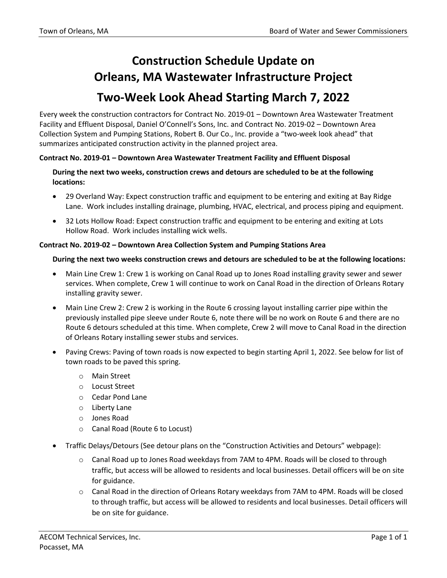## **Construction Schedule Update on Orleans, MA Wastewater Infrastructure Project Two-Week Look Ahead Starting March 7, 2022**

Every week the construction contractors for Contract No. 2019-01 – Downtown Area Wastewater Treatment Facility and Effluent Disposal, Daniel O'Connell's Sons, Inc. and Contract No. 2019-02 – Downtown Area Collection System and Pumping Stations, Robert B. Our Co., Inc. provide a "two-week look ahead" that summarizes anticipated construction activity in the planned project area.

## **Contract No. 2019-01 – Downtown Area Wastewater Treatment Facility and Effluent Disposal**

**During the next two weeks, construction crews and detours are scheduled to be at the following locations:**

- 29 Overland Way: Expect construction traffic and equipment to be entering and exiting at Bay Ridge Lane. Work includes installing drainage, plumbing, HVAC, electrical, and process piping and equipment.
- 32 Lots Hollow Road: Expect construction traffic and equipment to be entering and exiting at Lots Hollow Road. Work includes installing wick wells.

## **Contract No. 2019-02 – Downtown Area Collection System and Pumping Stations Area**

## **During the next two weeks construction crews and detours are scheduled to be at the following locations:**

- Main Line Crew 1: Crew 1 is working on Canal Road up to Jones Road installing gravity sewer and sewer services. When complete, Crew 1 will continue to work on Canal Road in the direction of Orleans Rotary installing gravity sewer.
- Main Line Crew 2: Crew 2 is working in the Route 6 crossing layout installing carrier pipe within the previously installed pipe sleeve under Route 6, note there will be no work on Route 6 and there are no Route 6 detours scheduled at this time. When complete, Crew 2 will move to Canal Road in the direction of Orleans Rotary installing sewer stubs and services.
- Paving Crews: Paving of town roads is now expected to begin starting April 1, 2022. See below for list of town roads to be paved this spring.
	- o Main Street
	- o Locust Street
	- o Cedar Pond Lane
	- o Liberty Lane
	- o Jones Road
	- o Canal Road (Route 6 to Locust)
- Traffic Delays/Detours (See detour plans on the "Construction Activities and Detours" webpage):
	- o Canal Road up to Jones Road weekdays from 7AM to 4PM. Roads will be closed to through traffic, but access will be allowed to residents and local businesses. Detail officers will be on site for guidance.
	- o Canal Road in the direction of Orleans Rotary weekdays from 7AM to 4PM. Roads will be closed to through traffic, but access will be allowed to residents and local businesses. Detail officers will be on site for guidance.